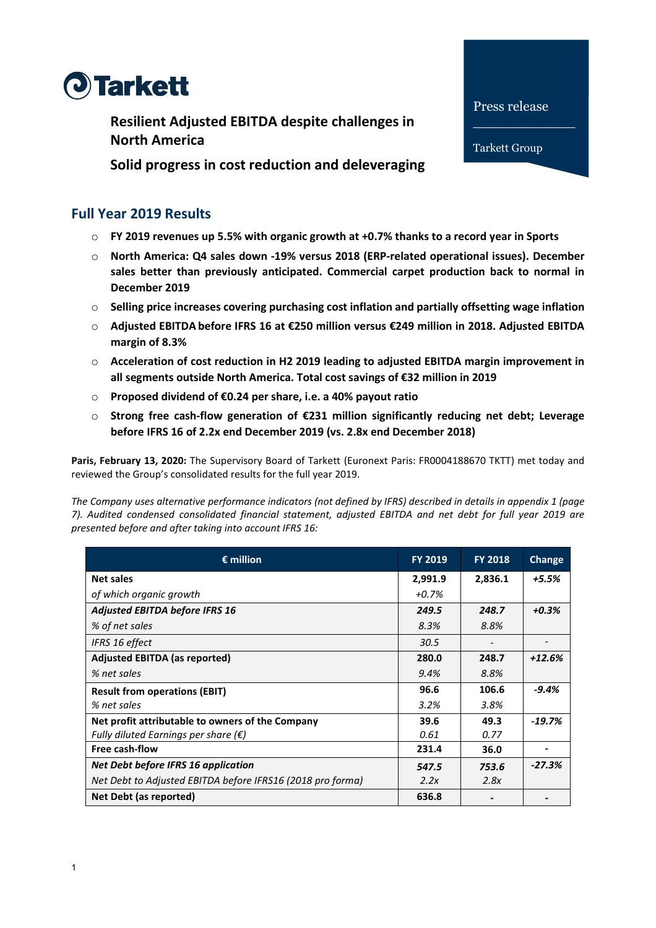

**Resilient Adjusted EBITDA despite challenges in North America**

**Solid progress in cost reduction and deleveraging** 

# **Full Year 2019 Results**

- o **FY 2019 revenues up 5.5% with organic growth at +0.7% thanks to a record year in Sports**
- o **North America: Q4 sales down -19% versus 2018 (ERP-related operational issues). December sales better than previously anticipated. Commercial carpet production back to normal in December 2019**

Press release

Tarkett Group

- o **Selling price increases covering purchasing cost inflation and partially offsetting wage inflation**
- o **Adjusted EBITDA before IFRS 16 at €250 million versus €249 million in 2018. Adjusted EBITDA margin of 8.3%**
- o **Acceleration of cost reduction in H2 2019 leading to adjusted EBITDA margin improvement in all segments outside North America. Total cost savings of €32 million in 2019**
- o **Proposed dividend of €0.24 per share, i.e. a 40% payout ratio**
- o **Strong free cash-flow generation of €231 million significantly reducing net debt; Leverage before IFRS 16 of 2.2x end December 2019 (vs. 2.8x end December 2018)**

**Paris, February 13, 2020:** The Supervisory Board of Tarkett (Euronext Paris: FR0004188670 TKTT) met today and reviewed the Group's consolidated results for the full year 2019.

*The Company uses alternative performance indicators (not defined by IFRS) described in details in appendix 1 (page 7). Audited condensed consolidated financial statement, adjusted EBITDA and net debt for full year 2019 are presented before and after taking into account IFRS 16:*

| $\epsilon$ million                                         | <b>FY 2019</b> | <b>FY 2018</b> | Change   |
|------------------------------------------------------------|----------------|----------------|----------|
| <b>Net sales</b>                                           | 2,991.9        | 2,836.1        | $+5.5%$  |
| of which organic growth                                    | $+0.7%$        |                |          |
| <b>Adjusted EBITDA before IFRS 16</b>                      | 249.5          | 248.7          | $+0.3%$  |
| % of net sales                                             | 8.3%           | 8.8%           |          |
| IFRS 16 effect                                             | 30.5           |                |          |
| <b>Adjusted EBITDA (as reported)</b>                       | 280.0          | 248.7          | $+12.6%$ |
| % net sales                                                | 9.4%           | 8.8%           |          |
| <b>Result from operations (EBIT)</b>                       | 96.6           | 106.6          | $-9.4%$  |
| % net sales                                                | 3.2%           | 3.8%           |          |
| Net profit attributable to owners of the Company           | 39.6           | 49.3           | $-19.7%$ |
| Fully diluted Earnings per share $(\epsilon)$              | 0.61           | 0.77           |          |
| Free cash-flow                                             | 231.4          | 36.0           |          |
| Net Debt before IFRS 16 application                        | 547.5          | 753.6          | $-27.3%$ |
| Net Debt to Adjusted EBITDA before IFRS16 (2018 pro forma) | 2.2x           | 2.8x           |          |
| Net Debt (as reported)                                     | 636.8          |                |          |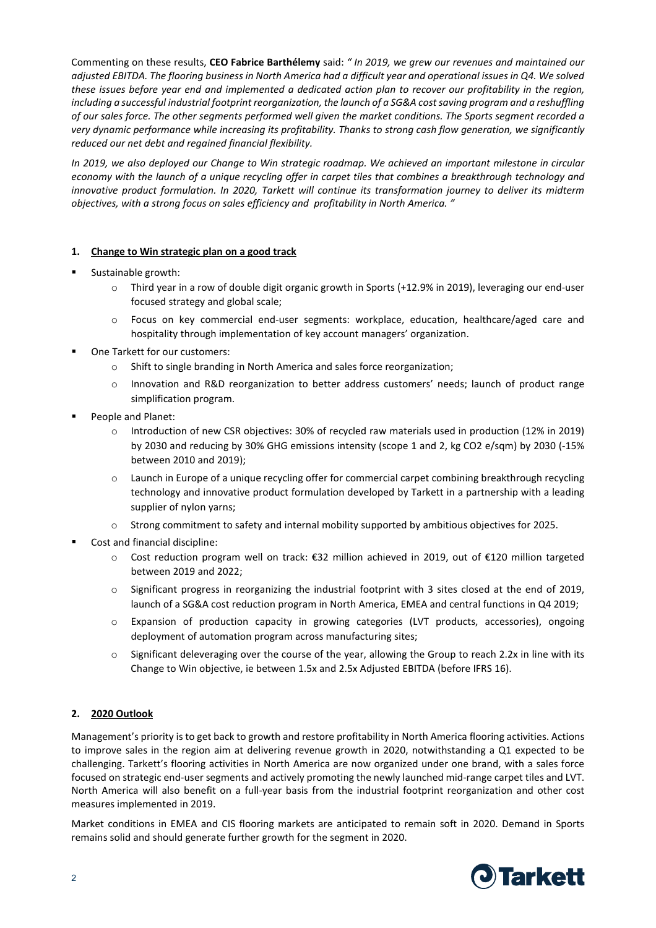Commenting on these results, **CEO Fabrice Barthélemy** said: *" In 2019, we grew our revenues and maintained our adjusted EBITDA. The flooring business in North America had a difficult year and operational issues in Q4. We solved these issues before year end and implemented a dedicated action plan to recover our profitability in the region, including a successful industrial footprint reorganization, the launch of a SG&A cost saving program and a reshuffling of our sales force. The other segments performed well given the market conditions. The Sports segment recorded a very dynamic performance while increasing its profitability. Thanks to strong cash flow generation, we significantly reduced our net debt and regained financial flexibility.* 

*In 2019, we also deployed our Change to Win strategic roadmap. We achieved an important milestone in circular economy with the launch of a unique recycling offer in carpet tiles that combines a breakthrough technology and innovative product formulation. In 2020, Tarkett will continue its transformation journey to deliver its midterm objectives, with a strong focus on sales efficiency and profitability in North America. "*

#### **1. Change to Win strategic plan on a good track**

- Sustainable growth:
	- o Third year in a row of double digit organic growth in Sports (+12.9% in 2019), leveraging our end-user focused strategy and global scale;
	- o Focus on key commercial end-user segments: workplace, education, healthcare/aged care and hospitality through implementation of key account managers' organization.
- One Tarkett for our customers:
	- o Shift to single branding in North America and sales force reorganization;
	- o Innovation and R&D reorganization to better address customers' needs; launch of product range simplification program.
- People and Planet:
	- o Introduction of new CSR objectives: 30% of recycled raw materials used in production (12% in 2019) by 2030 and reducing by 30% GHG emissions intensity (scope 1 and 2, kg CO2 e/sqm) by 2030 (-15% between 2010 and 2019);
	- o Launch in Europe of a unique recycling offer for commercial carpet combining breakthrough recycling technology and innovative product formulation developed by Tarkett in a partnership with a leading supplier of nylon yarns;
	- o Strong commitment to safety and internal mobility supported by ambitious objectives for 2025.
- Cost and financial discipline:
	- o Cost reduction program well on track: €32 million achieved in 2019, out of €120 million targeted between 2019 and 2022;
	- o Significant progress in reorganizing the industrial footprint with 3 sites closed at the end of 2019, launch of a SG&A cost reduction program in North America, EMEA and central functions in Q4 2019;
	- o Expansion of production capacity in growing categories (LVT products, accessories), ongoing deployment of automation program across manufacturing sites;
	- $\circ$  Significant deleveraging over the course of the year, allowing the Group to reach 2.2x in line with its Change to Win objective, ie between 1.5x and 2.5x Adjusted EBITDA (before IFRS 16).

## **2. 2020 Outlook**

Management's priority is to get back to growth and restore profitability in North America flooring activities. Actions to improve sales in the region aim at delivering revenue growth in 2020, notwithstanding a Q1 expected to be challenging. Tarkett's flooring activities in North America are now organized under one brand, with a sales force focused on strategic end-user segments and actively promoting the newly launched mid-range carpet tiles and LVT. North America will also benefit on a full-year basis from the industrial footprint reorganization and other cost measures implemented in 2019.

Market conditions in EMEA and CIS flooring markets are anticipated to remain soft in 2020. Demand in Sports remains solid and should generate further growth for the segment in 2020.

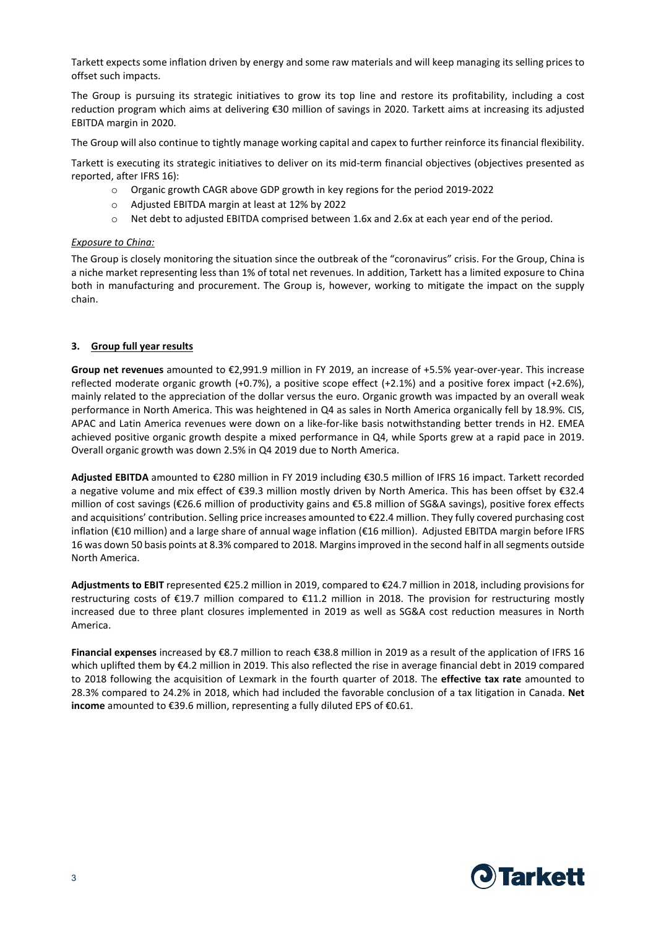Tarkett expects some inflation driven by energy and some raw materials and will keep managing its selling prices to offset such impacts.

The Group is pursuing its strategic initiatives to grow its top line and restore its profitability, including a cost reduction program which aims at delivering €30 million of savings in 2020. Tarkett aims at increasing its adjusted EBITDA margin in 2020.

The Group will also continue to tightly manage working capital and capex to further reinforce its financial flexibility.

Tarkett is executing its strategic initiatives to deliver on its mid-term financial objectives (objectives presented as reported, after IFRS 16):

- o Organic growth CAGR above GDP growth in key regions for the period 2019-2022
- o Adjusted EBITDA margin at least at 12% by 2022
- o Net debt to adjusted EBITDA comprised between 1.6x and 2.6x at each year end of the period.

#### *Exposure to China:*

The Group is closely monitoring the situation since the outbreak of the "coronavirus" crisis. For the Group, China is a niche market representing less than 1% of total net revenues. In addition, Tarkett has a limited exposure to China both in manufacturing and procurement. The Group is, however, working to mitigate the impact on the supply chain.

#### **3. Group full year results**

**Group net revenues** amounted to €2,991.9 million in FY 2019, an increase of +5.5% year-over-year. This increase reflected moderate organic growth (+0.7%), a positive scope effect (+2.1%) and a positive forex impact (+2.6%), mainly related to the appreciation of the dollar versus the euro. Organic growth was impacted by an overall weak performance in North America. This was heightened in Q4 as sales in North America organically fell by 18.9%. CIS, APAC and Latin America revenues were down on a like-for-like basis notwithstanding better trends in H2. EMEA achieved positive organic growth despite a mixed performance in Q4, while Sports grew at a rapid pace in 2019. Overall organic growth was down 2.5% in Q4 2019 due to North America.

**Adjusted EBITDA** amounted to €280 million in FY 2019 including €30.5 million of IFRS 16 impact. Tarkett recorded a negative volume and mix effect of €39.3 million mostly driven by North America. This has been offset by €32.4 million of cost savings (€26.6 million of productivity gains and €5.8 million of SG&A savings), positive forex effects and acquisitions' contribution. Selling price increases amounted to €22.4 million. They fully covered purchasing cost inflation (€10 million) and a large share of annual wage inflation (€16 million). Adjusted EBITDA margin before IFRS 16 was down 50 basis points at 8.3% compared to 2018. Margins improved in the second half in all segments outside North America.

**Adjustments to EBIT** represented €25.2 million in 2019, compared to €24.7 million in 2018, including provisions for restructuring costs of €19.7 million compared to €11.2 million in 2018. The provision for restructuring mostly increased due to three plant closures implemented in 2019 as well as SG&A cost reduction measures in North America.

**Financial expenses** increased by €8.7 million to reach €38.8 million in 2019 as a result of the application of IFRS 16 which uplifted them by €4.2 million in 2019. This also reflected the rise in average financial debt in 2019 compared to 2018 following the acquisition of Lexmark in the fourth quarter of 2018. The **effective tax rate** amounted to 28.3% compared to 24.2% in 2018, which had included the favorable conclusion of a tax litigation in Canada. **Net income** amounted to €39.6 million, representing a fully diluted EPS of €0.61.

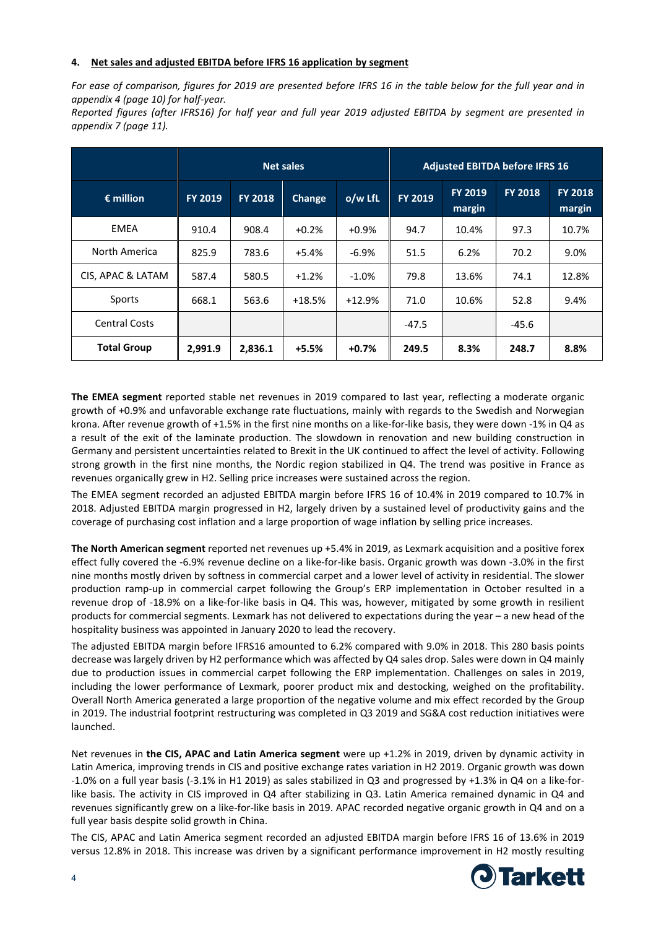#### **4. Net sales and adjusted EBITDA before IFRS 16 application by segment**

*For ease of comparison, figures for 2019 are presented before IFRS 16 in the table below for the full year and in appendix 4 (page 10) for half-year.* 

*Reported figures (after IFRS16) for half year and full year 2019 adjusted EBITDA by segment are presented in appendix 7 (page 11).* 

|                      |                |                | <b>Net sales</b> |          | <b>Adjusted EBITDA before IFRS 16</b> |                          |                |                          |
|----------------------|----------------|----------------|------------------|----------|---------------------------------------|--------------------------|----------------|--------------------------|
| $\epsilon$ million   | <b>FY 2019</b> | <b>FY 2018</b> | Change           | o/w LfL  | FY 2019                               | <b>FY 2019</b><br>margin | <b>FY 2018</b> | <b>FY 2018</b><br>margin |
| EMEA                 | 910.4          | 908.4          | $+0.2%$          | $+0.9%$  | 94.7                                  | 10.4%                    | 97.3           | 10.7%                    |
| North America        | 825.9          | 783.6          | $+5.4%$          | $-6.9%$  | 51.5                                  | 6.2%                     | 70.2           | 9.0%                     |
| CIS, APAC & LATAM    | 587.4          | 580.5          | $+1.2%$          | $-1.0%$  | 79.8                                  | 13.6%                    | 74.1           | 12.8%                    |
| Sports               | 668.1          | 563.6          | $+18.5%$         | $+12.9%$ | 71.0                                  | 10.6%                    | 52.8           | 9.4%                     |
| <b>Central Costs</b> |                |                |                  |          | $-47.5$                               |                          | -45.6          |                          |
| <b>Total Group</b>   | 2,991.9        | 2,836.1        | +5.5%            | $+0.7%$  | 249.5                                 | 8.3%                     | 248.7          | 8.8%                     |

**The EMEA segment** reported stable net revenues in 2019 compared to last year, reflecting a moderate organic growth of +0.9% and unfavorable exchange rate fluctuations, mainly with regards to the Swedish and Norwegian krona. After revenue growth of +1.5% in the first nine months on a like-for-like basis, they were down -1% in Q4 as a result of the exit of the laminate production. The slowdown in renovation and new building construction in Germany and persistent uncertainties related to Brexit in the UK continued to affect the level of activity. Following strong growth in the first nine months, the Nordic region stabilized in Q4. The trend was positive in France as revenues organically grew in H2. Selling price increases were sustained across the region.

The EMEA segment recorded an adjusted EBITDA margin before IFRS 16 of 10.4% in 2019 compared to 10.7% in 2018. Adjusted EBITDA margin progressed in H2, largely driven by a sustained level of productivity gains and the coverage of purchasing cost inflation and a large proportion of wage inflation by selling price increases.

**The North American segment** reported net revenues up +5.4% in 2019, as Lexmark acquisition and a positive forex effect fully covered the -6.9% revenue decline on a like-for-like basis. Organic growth was down -3.0% in the first nine months mostly driven by softness in commercial carpet and a lower level of activity in residential. The slower production ramp-up in commercial carpet following the Group's ERP implementation in October resulted in a revenue drop of -18.9% on a like-for-like basis in Q4. This was, however, mitigated by some growth in resilient products for commercial segments. Lexmark has not delivered to expectations during the year – a new head of the hospitality business was appointed in January 2020 to lead the recovery.

The adjusted EBITDA margin before IFRS16 amounted to 6.2% compared with 9.0% in 2018. This 280 basis points decrease was largely driven by H2 performance which was affected by Q4 sales drop. Sales were down in Q4 mainly due to production issues in commercial carpet following the ERP implementation. Challenges on sales in 2019, including the lower performance of Lexmark, poorer product mix and destocking, weighed on the profitability. Overall North America generated a large proportion of the negative volume and mix effect recorded by the Group in 2019. The industrial footprint restructuring was completed in Q3 2019 and SG&A cost reduction initiatives were launched.

Net revenues in **the CIS, APAC and Latin America segment** were up +1.2% in 2019, driven by dynamic activity in Latin America, improving trends in CIS and positive exchange rates variation in H2 2019. Organic growth was down -1.0% on a full year basis (-3.1% in H1 2019) as sales stabilized in Q3 and progressed by +1.3% in Q4 on a like-forlike basis. The activity in CIS improved in Q4 after stabilizing in Q3. Latin America remained dynamic in Q4 and revenues significantly grew on a like-for-like basis in 2019. APAC recorded negative organic growth in Q4 and on a full year basis despite solid growth in China.

The CIS, APAC and Latin America segment recorded an adjusted EBITDA margin before IFRS 16 of 13.6% in 2019 versus 12.8% in 2018. This increase was driven by a significant performance improvement in H2 mostly resulting

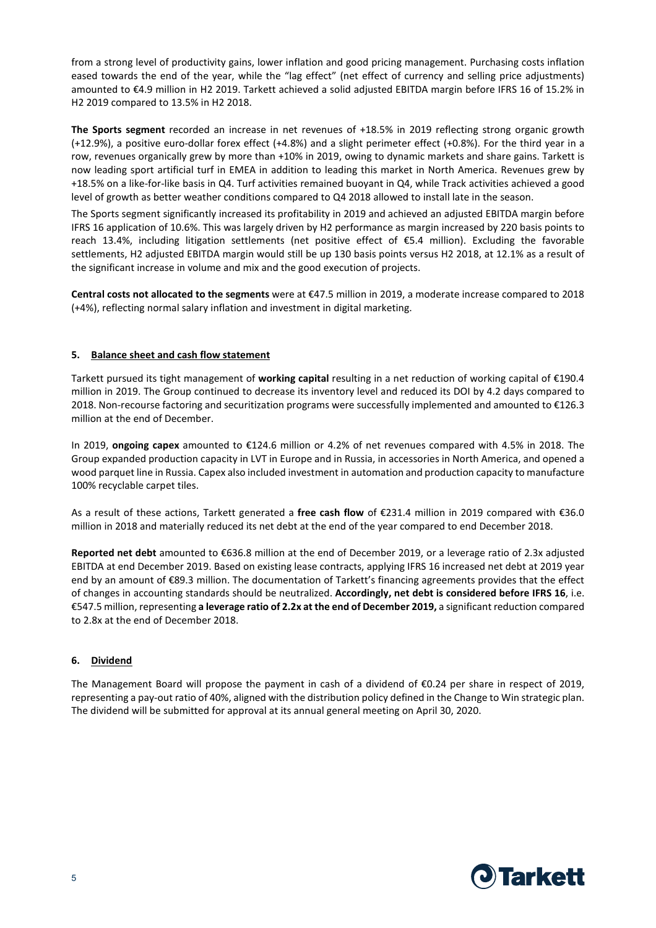from a strong level of productivity gains, lower inflation and good pricing management. Purchasing costs inflation eased towards the end of the year, while the "lag effect" (net effect of currency and selling price adjustments) amounted to €4.9 million in H2 2019. Tarkett achieved a solid adjusted EBITDA margin before IFRS 16 of 15.2% in H2 2019 compared to 13.5% in H2 2018.

**The Sports segment** recorded an increase in net revenues of +18.5% in 2019 reflecting strong organic growth (+12.9%), a positive euro-dollar forex effect (+4.8%) and a slight perimeter effect (+0.8%). For the third year in a row, revenues organically grew by more than +10% in 2019, owing to dynamic markets and share gains. Tarkett is now leading sport artificial turf in EMEA in addition to leading this market in North America. Revenues grew by +18.5% on a like-for-like basis in Q4. Turf activities remained buoyant in Q4, while Track activities achieved a good level of growth as better weather conditions compared to Q4 2018 allowed to install late in the season.

The Sports segment significantly increased its profitability in 2019 and achieved an adjusted EBITDA margin before IFRS 16 application of 10.6%. This was largely driven by H2 performance as margin increased by 220 basis points to reach 13.4%, including litigation settlements (net positive effect of €5.4 million). Excluding the favorable settlements, H2 adjusted EBITDA margin would still be up 130 basis points versus H2 2018, at 12.1% as a result of the significant increase in volume and mix and the good execution of projects.

**Central costs not allocated to the segments** were at €47.5 million in 2019, a moderate increase compared to 2018 (+4%), reflecting normal salary inflation and investment in digital marketing.

#### **5. Balance sheet and cash flow statement**

Tarkett pursued its tight management of **working capital** resulting in a net reduction of working capital of €190.4 million in 2019. The Group continued to decrease its inventory level and reduced its DOI by 4.2 days compared to 2018. Non-recourse factoring and securitization programs were successfully implemented and amounted to €126.3 million at the end of December.

In 2019, **ongoing capex** amounted to €124.6 million or 4.2% of net revenues compared with 4.5% in 2018. The Group expanded production capacity in LVT in Europe and in Russia, in accessories in North America, and opened a wood parquet line in Russia. Capex also included investment in automation and production capacity to manufacture 100% recyclable carpet tiles.

As a result of these actions, Tarkett generated a **free cash flow** of €231.4 million in 2019 compared with €36.0 million in 2018 and materially reduced its net debt at the end of the year compared to end December 2018.

**Reported net debt** amounted to €636.8 million at the end of December 2019, or a leverage ratio of 2.3x adjusted EBITDA at end December 2019. Based on existing lease contracts, applying IFRS 16 increased net debt at 2019 year end by an amount of €89.3 million. The documentation of Tarkett's financing agreements provides that the effect of changes in accounting standards should be neutralized. **Accordingly, net debt is considered before IFRS 16**, i.e. €547.5 million, representing **a leverage ratio of 2.2x at the end of December 2019,** a significant reduction compared to 2.8x at the end of December 2018.

#### **6. Dividend**

The Management Board will propose the payment in cash of a dividend of  $\epsilon$ 0.24 per share in respect of 2019, representing a pay-out ratio of 40%, aligned with the distribution policy defined in the Change to Win strategic plan. The dividend will be submitted for approval at its annual general meeting on April 30, 2020.

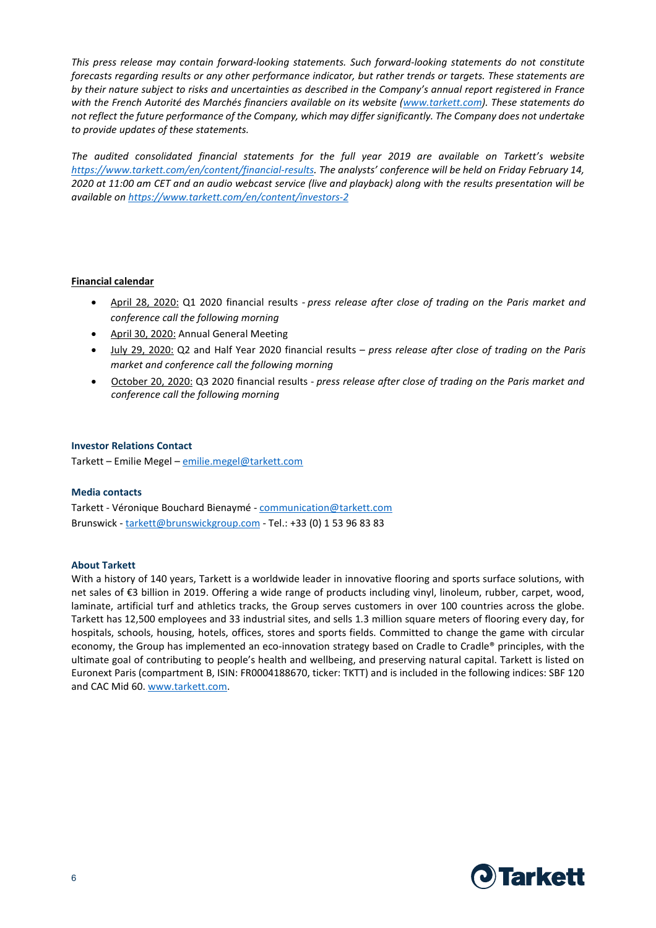*This press release may contain forward-looking statements. Such forward-looking statements do not constitute forecasts regarding results or any other performance indicator, but rather trends or targets. These statements are by their nature subject to risks and uncertainties as described in the Company's annual report registered in France with the French Autorité des Marchés financiers available on its website [\(www.tarkett.com\)](http://www.tarkett.com/). These statements do not reflect the future performance of the Company, which may differ significantly. The Company does not undertake to provide updates of these statements.*

*The audited consolidated financial statements for the full year 2019 are available on Tarkett's website [https://www.tarkett.com/en/content/financial-results.](https://www.tarkett.com/en/content/financial-results) The analysts' conference will be held on Friday February 14, 2020 at 11:00 am CET and an audio webcast service (live and playback) along with the results presentation will be available o[n https://www.tarkett.com/en/content/investors-2](https://www.tarkett.com/en/content/investors-2)*

#### **Financial calendar**

- April 28, 2020: Q1 2020 financial results *- press release after close of trading on the Paris market and conference call the following morning*
- April 30, 2020: Annual General Meeting
- July 29, 2020: Q2 and Half Year 2020 financial results *press release after close of trading on the Paris market and conference call the following morning*
- October 20, 2020: Q3 2020 financial results *press release after close of trading on the Paris market and conference call the following morning*

#### **Investor Relations Contact**

Tarkett – Emilie Megel – [emilie.megel@tarkett.com](mailto:emilie.megel@tarkett.com)

#### **Media contacts**

Tarkett - Véronique Bouchard Bienaymé - [communication@tarkett.com](mailto:communication@tarkett.com) Brunswick - [tarkett@brunswickgroup.com](mailto:tarkett@brunswickgroup.com) - Tel.: +33 (0) 1 53 96 83 83

#### **About Tarkett**

With a history of 140 years, Tarkett is a worldwide leader in innovative flooring and sports surface solutions, with net sales of €3 billion in 2019. Offering a wide range of products including vinyl, linoleum, rubber, carpet, wood, laminate, artificial turf and athletics tracks, the Group serves customers in over 100 countries across the globe. Tarkett has 12,500 employees and 33 industrial sites, and sells 1.3 million square meters of flooring every day, for hospitals, schools, housing, hotels, offices, stores and sports fields. Committed to change the game with circular economy, the Group has implemented an eco-innovation strategy based on Cradle to Cradle® principles, with the ultimate goal of contributing to people's health and wellbeing, and preserving natural capital. Tarkett is listed on Euronext Paris (compartment B, ISIN: FR0004188670, ticker: TKTT) and is included in the following indices: SBF 120 and CAC Mid 60. [www.tarkett.com.](http://www.tarkett.com/)

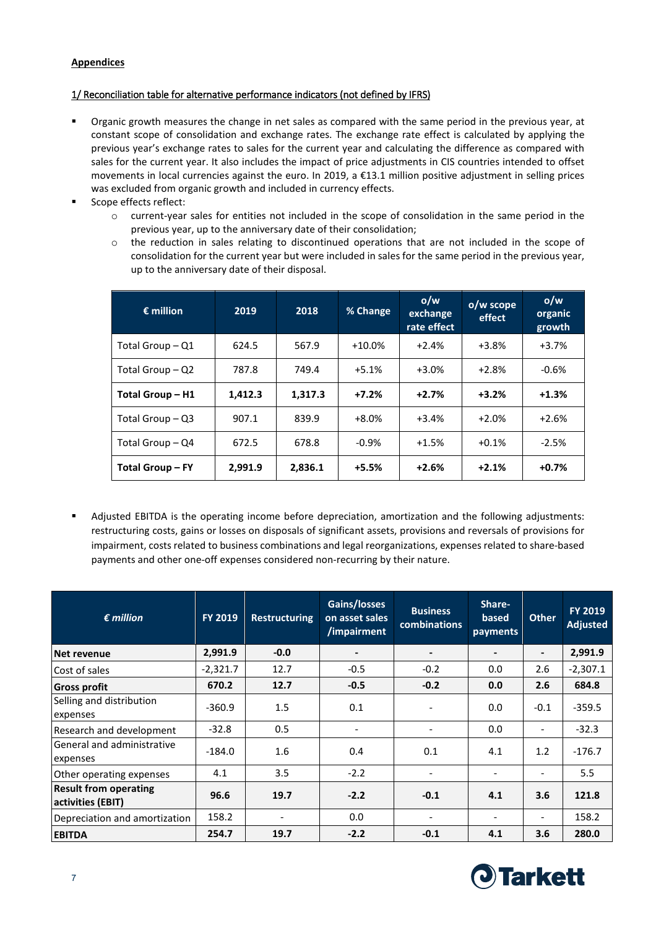## **Appendices**

## 1/ Reconciliation table for alternative performance indicators (not defined by IFRS)

- Organic growth measures the change in net sales as compared with the same period in the previous year, at constant scope of consolidation and exchange rates. The exchange rate effect is calculated by applying the previous year's exchange rates to sales for the current year and calculating the difference as compared with sales for the current year. It also includes the impact of price adjustments in CIS countries intended to offset movements in local currencies against the euro. In 2019, a €13.1 million positive adjustment in selling prices was excluded from organic growth and included in currency effects.
- Scope effects reflect:
	- o current-year sales for entities not included in the scope of consolidation in the same period in the previous year, up to the anniversary date of their consolidation;
	- o the reduction in sales relating to discontinued operations that are not included in the scope of consolidation for the current year but were included in sales for the same period in the previous year, up to the anniversary date of their disposal.

| $\epsilon$ million      | 2019    | 2018    | % Change  | o/w<br>exchange<br>rate effect | o/w scope<br>effect | o/w<br>organic<br>growth |
|-------------------------|---------|---------|-----------|--------------------------------|---------------------|--------------------------|
| Total Group - Q1        | 624.5   | 567.9   | $+10.0\%$ | $+2.4%$                        | $+3.8%$             | $+3.7%$                  |
| Total Group - Q2        | 787.8   | 749.4   | $+5.1%$   | $+3.0%$                        | $+2.8%$             | $-0.6%$                  |
| Total Group - H1        | 1.412.3 | 1.317.3 | $+7.2%$   | $+2.7%$                        | $+3.2%$             | $+1.3%$                  |
| Total Group $-$ Q3      | 907.1   | 839.9   | $+8.0%$   | $+3.4%$                        | $+2.0%$             | $+2.6%$                  |
| Total Group $-$ Q4      | 672.5   | 678.8   | $-0.9%$   | $+1.5%$                        | $+0.1%$             | $-2.5%$                  |
| <b>Total Group - FY</b> | 2.991.9 | 2.836.1 | $+5.5%$   | $+2.6%$                        | $+2.1%$             | $+0.7%$                  |

 Adjusted EBITDA is the operating income before depreciation, amortization and the following adjustments: restructuring costs, gains or losses on disposals of significant assets, provisions and reversals of provisions for impairment, costs related to business combinations and legal reorganizations, expenses related to share-based payments and other one-off expenses considered non-recurring by their nature.

| $\epsilon$ million                                | <b>FY 2019</b> | <b>Restructuring</b>     | Gains/losses<br>on asset sales<br>/impairment | <b>Business</b><br><b>combinations</b> | Share-<br>based<br>payments | <b>Other</b>                 | <b>FY 2019</b><br><b>Adjusted</b> |
|---------------------------------------------------|----------------|--------------------------|-----------------------------------------------|----------------------------------------|-----------------------------|------------------------------|-----------------------------------|
| Net revenue                                       | 2,991.9        | $-0.0$                   | $\blacksquare$                                | $\blacksquare$                         | $\overline{\phantom{a}}$    | $\blacksquare$               | 2,991.9                           |
| Cost of sales                                     | $-2,321.7$     | 12.7                     | $-0.5$                                        | $-0.2$                                 | 0.0                         | 2.6                          | $-2,307.1$                        |
| <b>Gross profit</b>                               | 670.2          | 12.7                     | $-0.5$                                        | $-0.2$                                 | 0.0                         | 2.6                          | 684.8                             |
| Selling and distribution<br>expenses              | $-360.9$       | 1.5                      | 0.1                                           |                                        | 0.0                         | $-0.1$                       | $-359.5$                          |
| Research and development                          | $-32.8$        | 0.5                      | $\overline{\phantom{a}}$                      | $\overline{\phantom{a}}$               | 0.0                         | $\qquad \qquad \blacksquare$ | $-32.3$                           |
| General and administrative<br>expenses            | $-184.0$       | 1.6                      | 0.4                                           | 0.1                                    | 4.1                         | 1.2                          | $-176.7$                          |
| Other operating expenses                          | 4.1            | 3.5                      | $-2.2$                                        | $\overline{\phantom{a}}$               | $\qquad \qquad -$           | $\overline{\phantom{a}}$     | 5.5                               |
| <b>Result from operating</b><br>activities (EBIT) | 96.6           | 19.7                     | $-2.2$                                        | $-0.1$                                 | 4.1                         | 3.6                          | 121.8                             |
| Depreciation and amortization                     | 158.2          | $\overline{\phantom{a}}$ | 0.0                                           | $\overline{\phantom{a}}$               | $\qquad \qquad -$           | $\overline{\phantom{a}}$     | 158.2                             |
| <b>EBITDA</b>                                     | 254.7          | 19.7                     | $-2.2$                                        | $-0.1$                                 | 4.1                         | 3.6                          | 280.0                             |

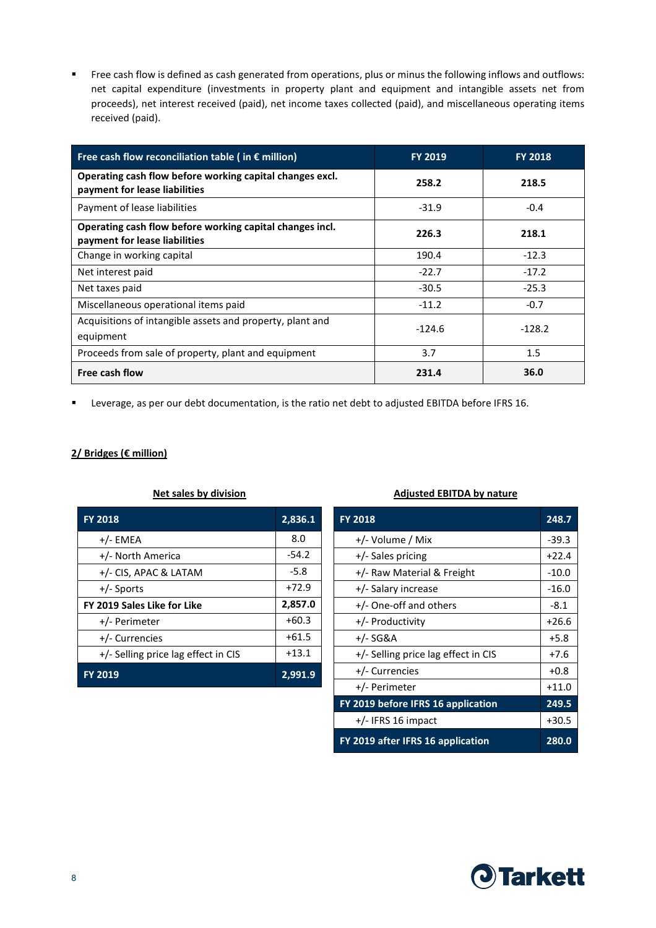Free cash flow is defined as cash generated from operations, plus or minus the following inflows and outflows: net capital expenditure (investments in property plant and equipment and intangible assets net from proceeds), net interest received (paid), net income taxes collected (paid), and miscellaneous operating items received (paid).

| Free cash flow reconciliation table ( in $\epsilon$ million)                              | <b>FY 2019</b> | <b>FY 2018</b> |
|-------------------------------------------------------------------------------------------|----------------|----------------|
| Operating cash flow before working capital changes excl.<br>payment for lease liabilities | 258.2          | 218.5          |
| Payment of lease liabilities                                                              | $-31.9$        | $-0.4$         |
| Operating cash flow before working capital changes incl.<br>payment for lease liabilities | 226.3          | 218.1          |
| Change in working capital                                                                 | 190.4          | $-12.3$        |
| Net interest paid                                                                         | $-22.7$        | $-17.2$        |
| Net taxes paid                                                                            | $-30.5$        | $-25.3$        |
| Miscellaneous operational items paid                                                      | $-11.2$        | $-0.7$         |
| Acquisitions of intangible assets and property, plant and<br>equipment                    | $-124.6$       | $-128.2$       |
| Proceeds from sale of property, plant and equipment                                       | 3.7            | 1.5            |
| Free cash flow                                                                            | 231.4          | 36.0           |

Leverage, as per our debt documentation, is the ratio net debt to adjusted EBITDA before IFRS 16.

## **2/ Bridges (€ million)**

| <b>FY 2018</b>                      | 2,836.1 |
|-------------------------------------|---------|
| $+/-$ EMEA                          | 8.0     |
| +/- North America                   | $-54.2$ |
| +/- CIS, APAC & LATAM               | $-5.8$  |
| $+/-$ Sports                        | $+72.9$ |
| FY 2019 Sales Like for Like         | 2,857.0 |
| +/- Perimeter                       | $+60.3$ |
| +/- Currencies                      | $+61.5$ |
| +/- Selling price lag effect in CIS | $+13.1$ |
| <b>FY 2019</b>                      | 2,991.9 |

#### **Net sales by division Adjusted EBITDA by nature**

| <b>FY 2018</b>                      | 248.7   |
|-------------------------------------|---------|
| +/- Volume / Mix                    | $-39.3$ |
| +/- Sales pricing                   | $+22.4$ |
| +/- Raw Material & Freight          | $-10.0$ |
| +/- Salary increase                 | $-16.0$ |
| +/- One-off and others              | $-8.1$  |
| +/- Productivity                    | $+26.6$ |
| +/- SG&A                            | $+5.8$  |
| +/- Selling price lag effect in CIS | $+7.6$  |
| +/- Currencies                      | $+0.8$  |
| +/- Perimeter                       | $+11.0$ |
| FY 2019 before IFRS 16 application  | 249.5   |
| $+/-$ IFRS 16 impact                | $+30.5$ |
| FY 2019 after IFRS 16 application   | 280.0   |

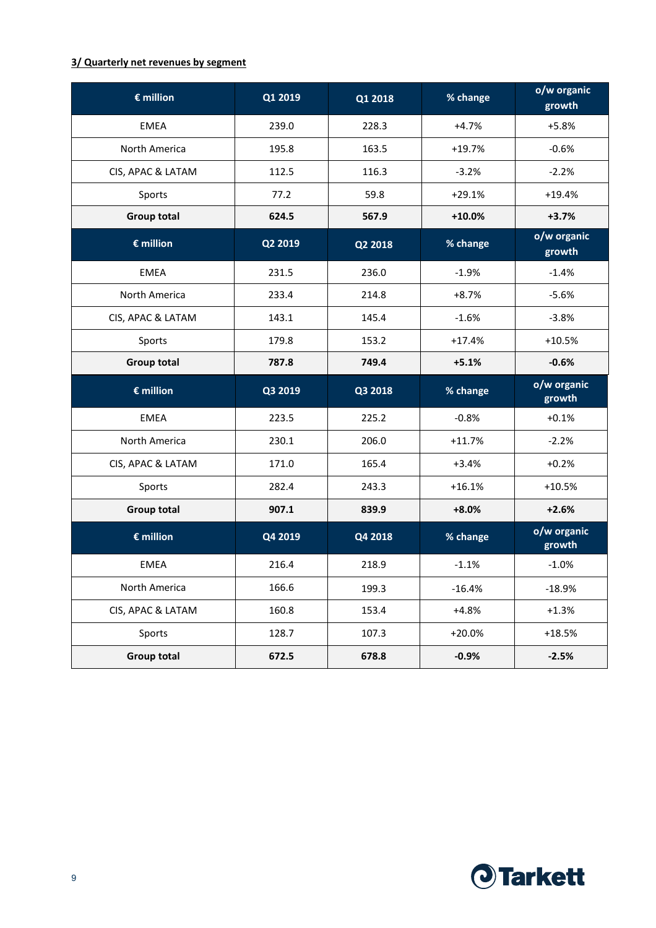## **3/ Quarterly net revenues by segment**

| $\epsilon$ million | Q1 2019 | Q1 2018 | % change | o/w organic<br>growth |
|--------------------|---------|---------|----------|-----------------------|
| <b>EMEA</b>        | 239.0   | 228.3   | $+4.7%$  | $+5.8%$               |
| North America      | 195.8   | 163.5   | $+19.7%$ | $-0.6%$               |
| CIS, APAC & LATAM  | 112.5   | 116.3   | $-3.2%$  | $-2.2%$               |
| Sports             | 77.2    | 59.8    | $+29.1%$ | $+19.4%$              |
| <b>Group total</b> | 624.5   | 567.9   | $+10.0%$ | $+3.7%$               |
| $\epsilon$ million | Q2 2019 | Q2 2018 | % change | o/w organic<br>growth |
| <b>EMEA</b>        | 231.5   | 236.0   | $-1.9%$  | $-1.4%$               |
| North America      | 233.4   | 214.8   | $+8.7%$  | $-5.6%$               |
| CIS, APAC & LATAM  | 143.1   | 145.4   | $-1.6%$  | $-3.8%$               |
| Sports             | 179.8   | 153.2   | $+17.4%$ | $+10.5%$              |
| <b>Group total</b> | 787.8   | 749.4   | $+5.1%$  | $-0.6%$               |
| $\epsilon$ million | Q3 2019 | Q3 2018 | % change | o/w organic<br>growth |
| <b>EMEA</b>        | 223.5   | 225.2   | $-0.8%$  | $+0.1%$               |
| North America      | 230.1   | 206.0   | $+11.7%$ | $-2.2%$               |
| CIS, APAC & LATAM  | 171.0   | 165.4   | $+3.4%$  | $+0.2%$               |
| Sports             | 282.4   | 243.3   | $+16.1%$ | $+10.5%$              |
| <b>Group total</b> | 907.1   | 839.9   | $+8.0%$  | $+2.6%$               |
| $\epsilon$ million | Q4 2019 | Q4 2018 | % change | o/w organic<br>growth |
| <b>EMEA</b>        | 216.4   | 218.9   | $-1.1%$  | $-1.0%$               |
| North America      | 166.6   | 199.3   | $-16.4%$ | $-18.9%$              |
| CIS, APAC & LATAM  | 160.8   | 153.4   | $+4.8%$  | $+1.3%$               |
| Sports             | 128.7   | 107.3   | $+20.0%$ | $+18.5%$              |
| <b>Group total</b> | 672.5   | 678.8   | $-0.9%$  | $-2.5%$               |

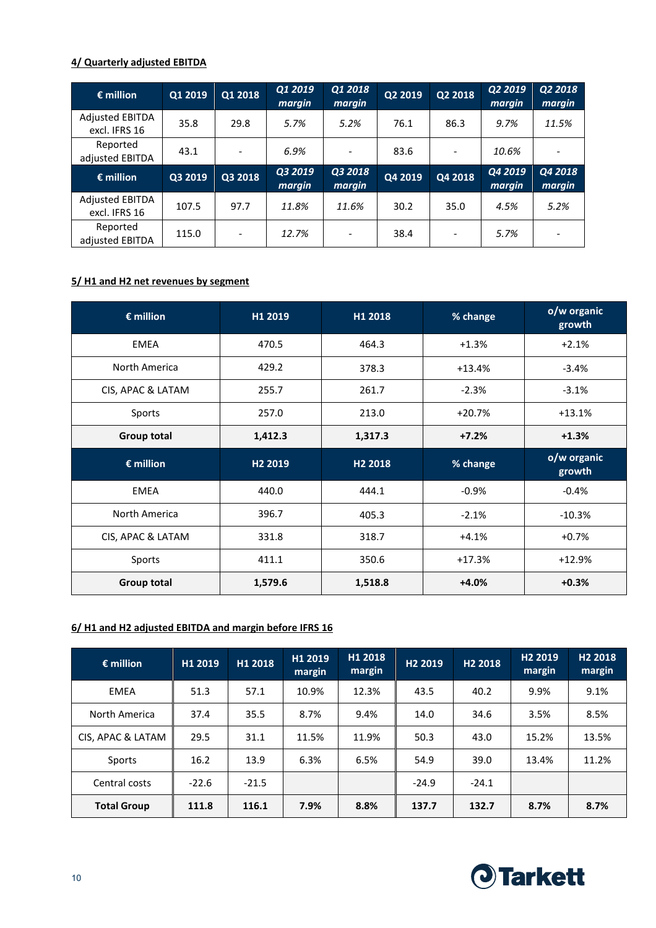## **4/ Quarterly adjusted EBITDA**

| $\epsilon$ million                      | Q1 2019 | Q1 2018                  | Q1 2019<br>margin | Q1 2018<br>margin        | Q2 2019 | Q2 2018 | Q2 2019<br>margin | Q2 2018<br>margin |
|-----------------------------------------|---------|--------------------------|-------------------|--------------------------|---------|---------|-------------------|-------------------|
| <b>Adjusted EBITDA</b><br>excl. IFRS 16 | 35.8    | 29.8                     | 5.7%              | 5.2%                     | 76.1    | 86.3    | 9.7%              | 11.5%             |
| Reported<br>adjusted EBITDA             | 43.1    | $\overline{\phantom{a}}$ | 6.9%              | $\overline{\phantom{a}}$ | 83.6    |         | 10.6%             |                   |
|                                         |         |                          |                   |                          |         |         |                   |                   |
| $\epsilon$ million                      | Q3 2019 | Q3 2018                  | Q3 2019<br>margin | Q3 2018<br>margin        | Q4 2019 | Q4 2018 | Q4 2019<br>margin | Q4 2018<br>margin |
| <b>Adjusted EBITDA</b><br>excl. IFRS 16 | 107.5   | 97.7                     | 11.8%             | 11.6%                    | 30.2    | 35.0    | 4.5%              | 5.2%              |

## **5/ H1 and H2 net revenues by segment**

| $\epsilon$ million | H1 2019             | H1 2018             | % change | o/w organic<br>growth |
|--------------------|---------------------|---------------------|----------|-----------------------|
| <b>EMEA</b>        | 470.5               | 464.3               | $+1.3%$  | $+2.1%$               |
| North America      | 429.2               | 378.3               | $+13.4%$ | $-3.4%$               |
| CIS, APAC & LATAM  | 255.7               | 261.7               | $-2.3%$  | $-3.1%$               |
| Sports             | 257.0               | 213.0               | $+20.7%$ | $+13.1%$              |
| <b>Group total</b> | 1,412.3             | 1,317.3             | $+7.2%$  | $+1.3%$               |
| $\epsilon$ million | H <sub>2</sub> 2019 | H <sub>2</sub> 2018 | % change | o/w organic<br>growth |
| <b>EMEA</b>        | 440.0               | 444.1               | $-0.9%$  | $-0.4%$               |
| North America      | 396.7               | 405.3               | $-2.1%$  | $-10.3%$              |
| CIS, APAC & LATAM  | 331.8               | 318.7               | $+4.1%$  | $+0.7%$               |
| Sports             | 411.1               | 350.6               | $+17.3%$ | $+12.9%$              |
| <b>Group total</b> | 1,579.6             | 1,518.8             | $+4.0%$  | $+0.3%$               |

## **6/ H1 and H2 adjusted EBITDA and margin before IFRS 16**

| $\epsilon$ million | H1 2019 | H1 2018 | H1 2019<br>margin | H1 2018<br>margin | H <sub>2</sub> 2019 | H <sub>2</sub> 2018 | H <sub>2</sub> 2019<br>margin | H <sub>2</sub> 2018<br>margin |
|--------------------|---------|---------|-------------------|-------------------|---------------------|---------------------|-------------------------------|-------------------------------|
| EMEA               | 51.3    | 57.1    | 10.9%             | 12.3%             | 43.5                | 40.2                | 9.9%                          | 9.1%                          |
| North America      | 37.4    | 35.5    | 8.7%              | 9.4%              | 14.0                | 34.6                | 3.5%                          | 8.5%                          |
| CIS, APAC & LATAM  | 29.5    | 31.1    | 11.5%             | 11.9%             | 50.3                | 43.0                | 15.2%                         | 13.5%                         |
| Sports             | 16.2    | 13.9    | 6.3%              | 6.5%              | 54.9                | 39.0                | 13.4%                         | 11.2%                         |
| Central costs      | $-22.6$ | $-21.5$ |                   |                   | $-24.9$             | $-24.1$             |                               |                               |
| <b>Total Group</b> | 111.8   | 116.1   | 7.9%              | 8.8%              | 137.7               | 132.7               | 8.7%                          | 8.7%                          |